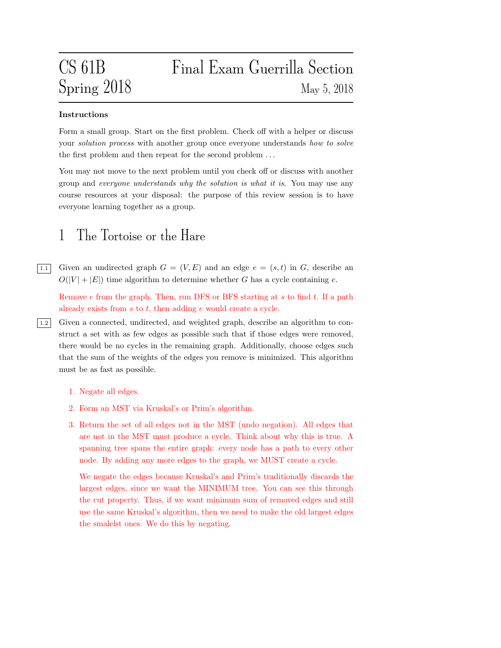# CS 61B Final Exam Guerrilla Section  $Spring\ 2018$  May 5, 2018

#### Instructions

Form a small group. Start on the first problem. Check off with a helper or discuss your *solution process* with another group once everyone understands how to solve the first problem and then repeat for the second problem . . .

You may not move to the next problem until you check off or discuss with another group and everyone understands why the solution is what it is. You may use any course resources at your disposal: the purpose of this review session is to have everyone learning together as a group.

#### 1 The Tortoise or the Hare

 $\boxed{1.1}$  Given an undirected graph  $G = (V, E)$  and an edge  $e = (s, t)$  in G, describe an  $O(|V| + |E|)$  time algorithm to determine whether G has a cycle containing e.

Remove  $e$  from the graph. Then, run DFS or BFS starting at  $s$  to find  $t$ . If a path already exists from s to t, then adding e would create a cycle.

- 1.2 Given a connected, undirected, and weighted graph, describe an algorithm to construct a set with as few edges as possible such that if those edges were removed, there would be no cycles in the remaining graph. Additionally, choose edges such that the sum of the weights of the edges you remove is minimized. This algorithm must be as fast as possible.
	- 1. Negate all edges.
	- 2. Form an MST via Kruskal's or Prim's algorithm.
	- 3. Return the set of all edges not in the MST (undo negation). All edges that are not in the MST must produce a cycle. Think about why this is true. A spanning tree spans the entire graph: every node has a path to every other node. By adding any more edges to the graph, we MUST create a cycle.

We negate the edges because Kruskal's and Prim's traditionally discards the largest edges, since we want the MINIMUM tree. You can see this through the cut property. Thus, if we want minimum sum of removed edges and still use the same Kruskal's algorithm, then we need to make the old largest edges the smalelst ones. We do this by negating.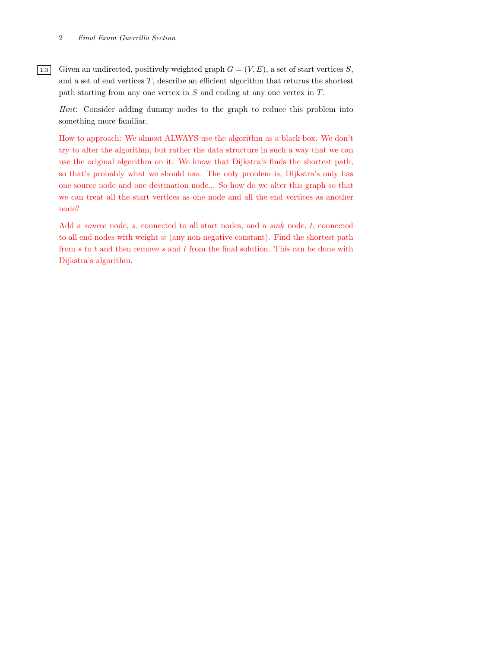[1.3] Given an undirected, positively weighted graph  $G = (V, E)$ , a set of start vertices S, and a set of end vertices  $T$ , describe an efficient algorithm that returns the shortest path starting from any one vertex in S and ending at any one vertex in T.

Hint: Consider adding dummy nodes to the graph to reduce this problem into something more familiar.

How to approach: We almost ALWAYS use the algorithm as a black box. We don't try to alter the algorithm, but rather the data structure in such a way that we can use the original algorithm on it. We know that Dijkstra's finds the shortest path, so that's probably what we should use. The only problem is, Dijkstra's only has one source node and one destination node... So how do we alter this graph so that we can treat all the start vertices as one node and all the end vertices as another node?

Add a *source* node, s, connected to all start nodes, and a sink node, t, connected to all end nodes with weight  $w$  (any non-negative constant). Find the shortest path from s to t and then remove s and t from the final solution. This can be done with Dijkstra's algorithm.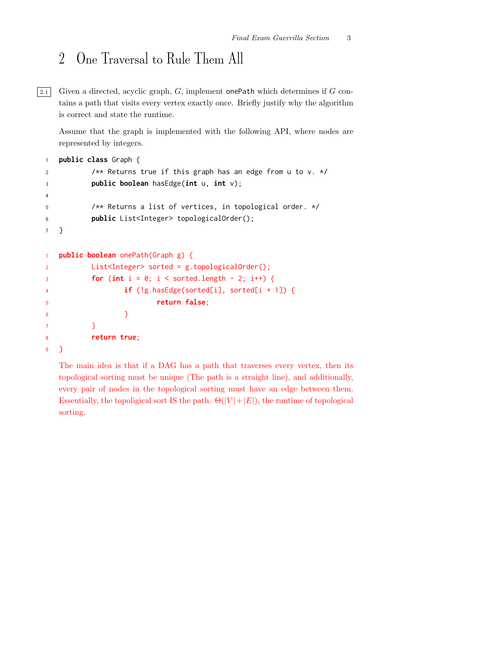## 2 One Traversal to Rule Them All

 $\boxed{2.1}$  Given a directed, acyclic graph, G, implement onePath which determines if G contains a path that visits every vertex exactly once. Briefly justify why the algorithm is correct and state the runtime.

Assume that the graph is implemented with the following API, where nodes are represented by integers.

```
1 public class Graph {
2 /** Returns true if this graph has an edge from u to v. */
3 public boolean hasEdge(int u, int v);
4
5 /** Returns a list of vertices, in topological order. */
6 public List<Integer> topologicalOrder();
7 }
1 public boolean onePath(Graph g) {
2 List<Integer> sorted = g.topologicalOrder();
3 for (int i = 0; i < sorted.length - 2; i++) {
4 if (!g.hasEdge(sorted[i], sorted[i + 1]) {
5 return false;
\begin{array}{ccc} 6 & & \hspace{1.5cm} & \hspace{1.5cm} \end{array}7 }
8 return true;
9 }
```
The main idea is that if a DAG has a path that traverses every vertex, then its topological sorting must be unique (The path is a straight line), and additionally, every pair of nodes in the topological sorting must have an edge between them. Essentially, the topoligical sort IS the path.  $\Theta(|V|+|E|)$ , the runtime of topological sorting.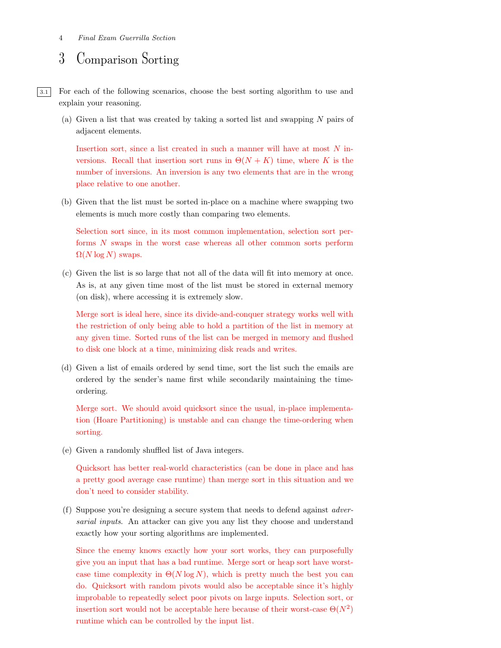#### 3 Comparison Sorting

3.1 For each of the following scenarios, choose the best sorting algorithm to use and explain your reasoning.

(a) Given a list that was created by taking a sorted list and swapping  $N$  pairs of adjacent elements.

Insertion sort, since a list created in such a manner will have at most N inversions. Recall that insertion sort runs in  $\Theta(N+K)$  time, where K is the number of inversions. An inversion is any two elements that are in the wrong place relative to one another.

(b) Given that the list must be sorted in-place on a machine where swapping two elements is much more costly than comparing two elements.

Selection sort since, in its most common implementation, selection sort performs N swaps in the worst case whereas all other common sorts perform  $\Omega(N \log N)$  swaps.

(c) Given the list is so large that not all of the data will fit into memory at once. As is, at any given time most of the list must be stored in external memory (on disk), where accessing it is extremely slow.

Merge sort is ideal here, since its divide-and-conquer strategy works well with the restriction of only being able to hold a partition of the list in memory at any given time. Sorted runs of the list can be merged in memory and flushed to disk one block at a time, minimizing disk reads and writes.

(d) Given a list of emails ordered by send time, sort the list such the emails are ordered by the sender's name first while secondarily maintaining the timeordering.

Merge sort. We should avoid quicksort since the usual, in-place implementation (Hoare Partitioning) is unstable and can change the time-ordering when sorting.

(e) Given a randomly shuffled list of Java integers.

Quicksort has better real-world characteristics (can be done in place and has a pretty good average case runtime) than merge sort in this situation and we don't need to consider stability.

(f) Suppose you're designing a secure system that needs to defend against adversarial inputs. An attacker can give you any list they choose and understand exactly how your sorting algorithms are implemented.

Since the enemy knows exactly how your sort works, they can purposefully give you an input that has a bad runtime. Merge sort or heap sort have worstcase time complexity in  $\Theta(N \log N)$ , which is pretty much the best you can do. Quicksort with random pivots would also be acceptable since it's highly improbable to repeatedly select poor pivots on large inputs. Selection sort, or insertion sort would not be acceptable here because of their worst-case  $\Theta(N^2)$ runtime which can be controlled by the input list.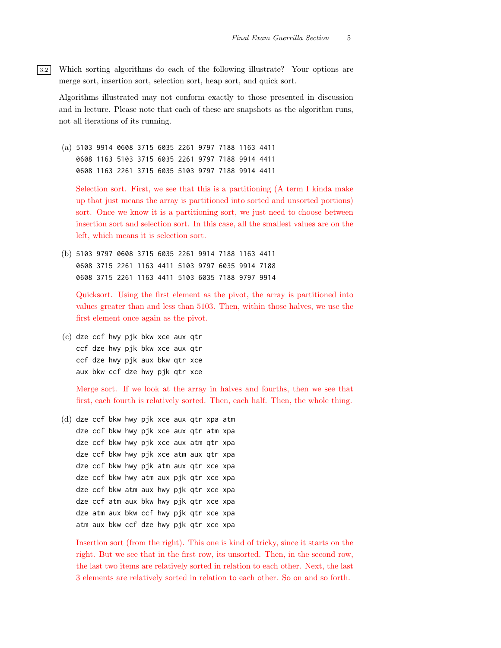3.2 Which sorting algorithms do each of the following illustrate? Your options are merge sort, insertion sort, selection sort, heap sort, and quick sort.

Algorithms illustrated may not conform exactly to those presented in discussion and in lecture. Please note that each of these are snapshots as the algorithm runs, not all iterations of its running.

(a) 5103 9914 0608 3715 6035 2261 9797 7188 1163 4411 0608 1163 5103 3715 6035 2261 9797 7188 9914 4411 0608 1163 2261 3715 6035 5103 9797 7188 9914 4411

Selection sort. First, we see that this is a partitioning (A term I kinda make up that just means the array is partitioned into sorted and unsorted portions) sort. Once we know it is a partitioning sort, we just need to choose between insertion sort and selection sort. In this case, all the smallest values are on the left, which means it is selection sort.

(b) 5103 9797 0608 3715 6035 2261 9914 7188 1163 4411 0608 3715 2261 1163 4411 5103 9797 6035 9914 7188 0608 3715 2261 1163 4411 5103 6035 7188 9797 9914

Quicksort. Using the first element as the pivot, the array is partitioned into values greater than and less than 5103. Then, within those halves, we use the first element once again as the pivot.

(c) dze ccf hwy pjk bkw xce aux qtr ccf dze hwy pjk bkw xce aux qtr ccf dze hwy pjk aux bkw qtr xce aux bkw ccf dze hwy pjk qtr xce

Merge sort. If we look at the array in halves and fourths, then we see that first, each fourth is relatively sorted. Then, each half. Then, the whole thing.

(d) dze ccf bkw hwy pjk xce aux qtr xpa atm dze ccf bkw hwy pjk xce aux qtr atm xpa dze ccf bkw hwy pjk xce aux atm qtr xpa dze ccf bkw hwy pjk xce atm aux qtr xpa dze ccf bkw hwy pjk atm aux qtr xce xpa dze ccf bkw hwy atm aux pjk qtr xce xpa dze ccf bkw atm aux hwy pjk qtr xce xpa dze ccf atm aux bkw hwy pjk qtr xce xpa dze atm aux bkw ccf hwy pjk qtr xce xpa atm aux bkw ccf dze hwy pjk qtr xce xpa

Insertion sort (from the right). This one is kind of tricky, since it starts on the right. But we see that in the first row, its unsorted. Then, in the second row, the last two items are relatively sorted in relation to each other. Next, the last 3 elements are relatively sorted in relation to each other. So on and so forth.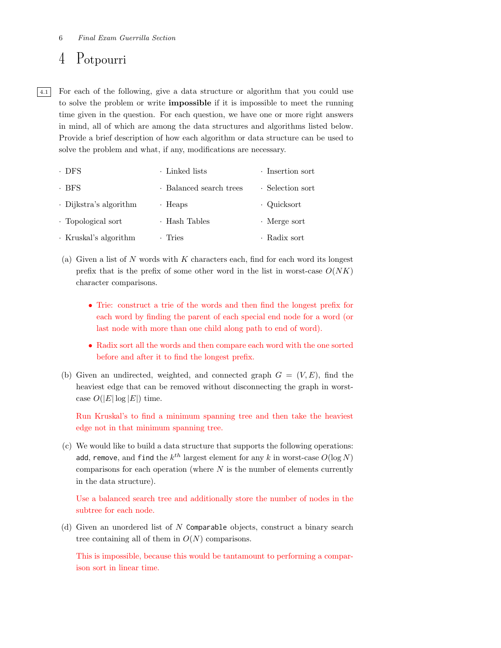### 4 Potpourri

4.1 For each of the following, give a data structure or algorithm that you could use to solve the problem or write impossible if it is impossible to meet the running time given in the question. For each question, we have one or more right answers in mind, all of which are among the data structures and algorithms listed below. Provide a brief description of how each algorithm or data structure can be used to solve the problem and what, if any, modifications are necessary.

| · DFS                  | Linked lists            | · Insertion sort   |
|------------------------|-------------------------|--------------------|
| · BFS                  | · Balanced search trees | · Selection sort   |
| · Dijkstra's algorithm | $\cdot$ Heaps           | · Quicksort        |
| · Topological sort     | · Hash Tables           | $\cdot$ Merge sort |
| · Kruskal's algorithm  | • Tries                 | • Radix sort       |

- (a) Given a list of  $N$  words with  $K$  characters each, find for each word its longest prefix that is the prefix of some other word in the list in worst-case  $O(NK)$ character comparisons.
	- Trie: construct a trie of the words and then find the longest prefix for each word by finding the parent of each special end node for a word (or last node with more than one child along path to end of word).
	- Radix sort all the words and then compare each word with the one sorted before and after it to find the longest prefix.
- (b) Given an undirected, weighted, and connected graph  $G = (V, E)$ , find the heaviest edge that can be removed without disconnecting the graph in worstcase  $O(|E|\log |E|)$  time.

Run Kruskal's to find a minimum spanning tree and then take the heaviest edge not in that minimum spanning tree.

(c) We would like to build a data structure that supports the following operations: add, remove, and find the  $k^{th}$  largest element for any  $k$  in worst-case  $O(\log N)$ comparisons for each operation (where  $N$  is the number of elements currently in the data structure).

Use a balanced search tree and additionally store the number of nodes in the subtree for each node.

(d) Given an unordered list of N Comparable objects, construct a binary search tree containing all of them in  $O(N)$  comparisons.

This is impossible, because this would be tantamount to performing a comparison sort in linear time.